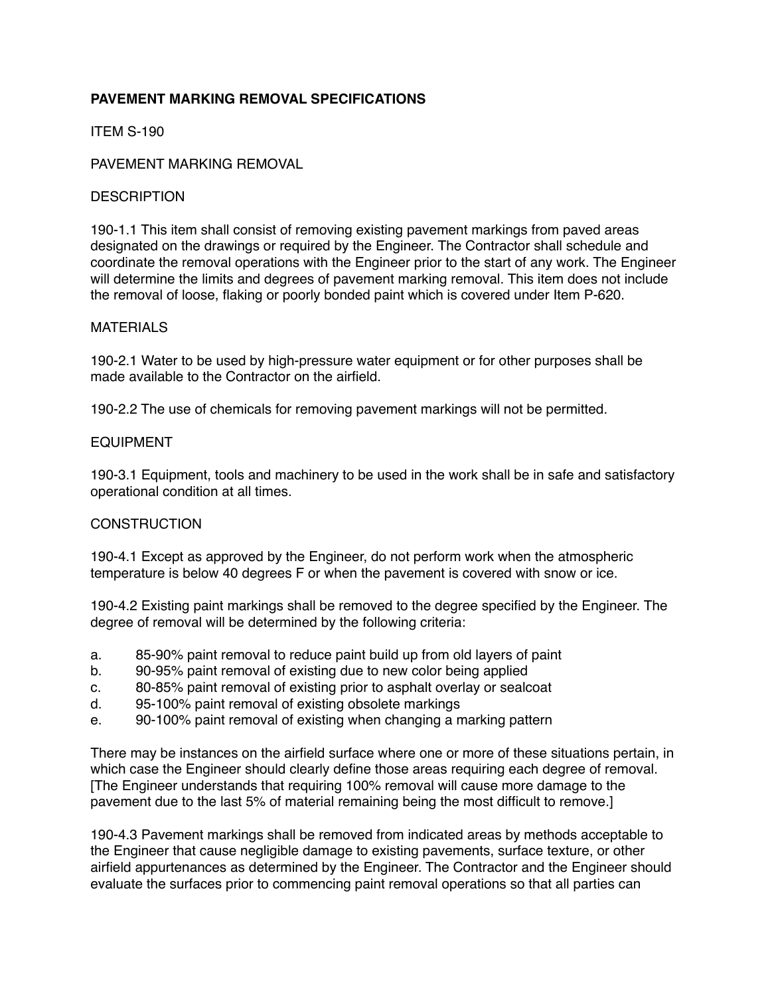## **PAVEMENT MARKING REMOVAL SPECIFICATIONS**

ITEM S-190

### PAVEMENT MARKING REMOVAL

#### **DESCRIPTION**

190-1.1 This item shall consist of removing existing pavement markings from paved areas designated on the drawings or required by the Engineer. The Contractor shall schedule and coordinate the removal operations with the Engineer prior to the start of any work. The Engineer will determine the limits and degrees of pavement marking removal. This item does not include the removal of loose, flaking or poorly bonded paint which is covered under Item P-620.

## MATERIALS

190-2.1 Water to be used by high-pressure water equipment or for other purposes shall be made available to the Contractor on the airfield.

190-2.2 The use of chemicals for removing pavement markings will not be permitted.

## EQUIPMENT

190-3.1 Equipment, tools and machinery to be used in the work shall be in safe and satisfactory operational condition at all times.

#### **CONSTRUCTION**

190-4.1 Except as approved by the Engineer, do not perform work when the atmospheric temperature is below 40 degrees F or when the pavement is covered with snow or ice.

190-4.2 Existing paint markings shall be removed to the degree specified by the Engineer. The degree of removal will be determined by the following criteria:

- a. 85-90% paint removal to reduce paint build up from old layers of paint
- b. 90-95% paint removal of existing due to new color being applied
- c. 80-85% paint removal of existing prior to asphalt overlay or sealcoat
- d. 95-100% paint removal of existing obsolete markings
- e. 90-100% paint removal of existing when changing a marking pattern

There may be instances on the airfield surface where one or more of these situations pertain, in which case the Engineer should clearly define those areas requiring each degree of removal. [The Engineer understands that requiring 100% removal will cause more damage to the pavement due to the last 5% of material remaining being the most difficult to remove.]

190-4.3 Pavement markings shall be removed from indicated areas by methods acceptable to the Engineer that cause negligible damage to existing pavements, surface texture, or other airfield appurtenances as determined by the Engineer. The Contractor and the Engineer should evaluate the surfaces prior to commencing paint removal operations so that all parties can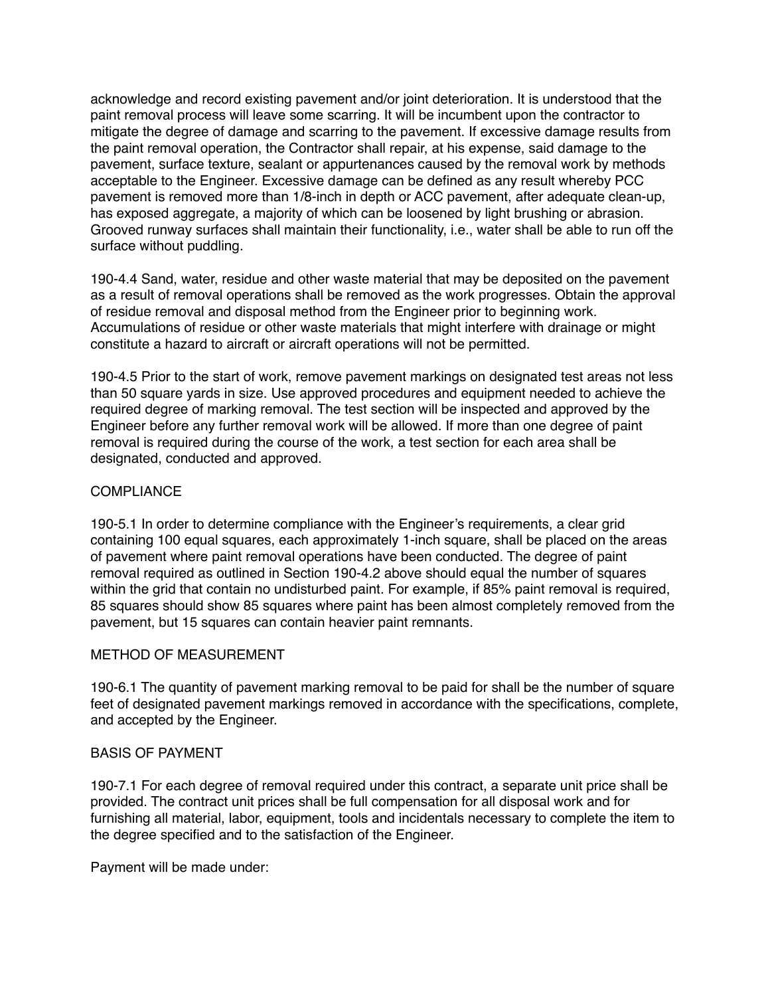acknowledge and record existing pavement and/or joint deterioration. It is understood that the paint removal process will leave some scarring. It will be incumbent upon the contractor to mitigate the degree of damage and scarring to the pavement. If excessive damage results from the paint removal operation, the Contractor shall repair, at his expense, said damage to the pavement, surface texture, sealant or appurtenances caused by the removal work by methods acceptable to the Engineer. Excessive damage can be defined as any result whereby PCC pavement is removed more than 1/8-inch in depth or ACC pavement, after adequate clean-up, has exposed aggregate, a majority of which can be loosened by light brushing or abrasion. Grooved runway surfaces shall maintain their functionality, i.e., water shall be able to run off the surface without puddling.

190-4.4 Sand, water, residue and other waste material that may be deposited on the pavement as a result of removal operations shall be removed as the work progresses. Obtain the approval of residue removal and disposal method from the Engineer prior to beginning work. Accumulations of residue or other waste materials that might interfere with drainage or might constitute a hazard to aircraft or aircraft operations will not be permitted.

190-4.5 Prior to the start of work, remove pavement markings on designated test areas not less than 50 square yards in size. Use approved procedures and equipment needed to achieve the required degree of marking removal. The test section will be inspected and approved by the Engineer before any further removal work will be allowed. If more than one degree of paint removal is required during the course of the work, a test section for each area shall be designated, conducted and approved.

## **COMPLIANCE**

190-5.1 In order to determine compliance with the Engineer's requirements, a clear grid containing 100 equal squares, each approximately 1-inch square, shall be placed on the areas of pavement where paint removal operations have been conducted. The degree of paint removal required as outlined in Section 190-4.2 above should equal the number of squares within the grid that contain no undisturbed paint. For example, if 85% paint removal is required, 85 squares should show 85 squares where paint has been almost completely removed from the pavement, but 15 squares can contain heavier paint remnants.

#### METHOD OF MEASUREMENT

190-6.1 The quantity of pavement marking removal to be paid for shall be the number of square feet of designated pavement markings removed in accordance with the specifications, complete, and accepted by the Engineer.

#### BASIS OF PAYMENT

190-7.1 For each degree of removal required under this contract, a separate unit price shall be provided. The contract unit prices shall be full compensation for all disposal work and for furnishing all material, labor, equipment, tools and incidentals necessary to complete the item to the degree specified and to the satisfaction of the Engineer.

Payment will be made under: